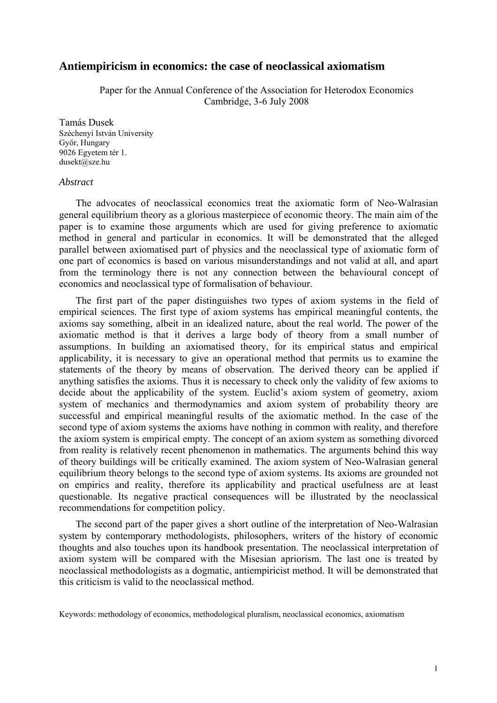# **Antiempiricism in economics: the case of neoclassical axiomatism**

Paper for the Annual Conference of the Association for Heterodox Economics Cambridge, 3-6 July 2008

Tamás Dusek Széchenyi István University Győr, Hungary 9026 Egyetem tér 1. dusekt@sze.hu

#### *Abstract*

The advocates of neoclassical economics treat the axiomatic form of Neo-Walrasian general equilibrium theory as a glorious masterpiece of economic theory. The main aim of the paper is to examine those arguments which are used for giving preference to axiomatic method in general and particular in economics. It will be demonstrated that the alleged parallel between axiomatised part of physics and the neoclassical type of axiomatic form of one part of economics is based on various misunderstandings and not valid at all, and apart from the terminology there is not any connection between the behavioural concept of economics and neoclassical type of formalisation of behaviour.

The first part of the paper distinguishes two types of axiom systems in the field of empirical sciences. The first type of axiom systems has empirical meaningful contents, the axioms say something, albeit in an idealized nature, about the real world. The power of the axiomatic method is that it derives a large body of theory from a small number of assumptions. In building an axiomatised theory, for its empirical status and empirical applicability, it is necessary to give an operational method that permits us to examine the statements of the theory by means of observation. The derived theory can be applied if anything satisfies the axioms. Thus it is necessary to check only the validity of few axioms to decide about the applicability of the system. Euclid's axiom system of geometry, axiom system of mechanics and thermodynamics and axiom system of probability theory are successful and empirical meaningful results of the axiomatic method. In the case of the second type of axiom systems the axioms have nothing in common with reality, and therefore the axiom system is empirical empty. The concept of an axiom system as something divorced from reality is relatively recent phenomenon in mathematics. The arguments behind this way of theory buildings will be critically examined. The axiom system of Neo-Walrasian general equilibrium theory belongs to the second type of axiom systems. Its axioms are grounded not on empirics and reality, therefore its applicability and practical usefulness are at least questionable. Its negative practical consequences will be illustrated by the neoclassical recommendations for competition policy.

The second part of the paper gives a short outline of the interpretation of Neo-Walrasian system by contemporary methodologists, philosophers, writers of the history of economic thoughts and also touches upon its handbook presentation. The neoclassical interpretation of axiom system will be compared with the Misesian apriorism. The last one is treated by neoclassical methodologists as a dogmatic, antiempiricist method. It will be demonstrated that this criticism is valid to the neoclassical method.

Keywords: methodology of economics, methodological pluralism, neoclassical economics, axiomatism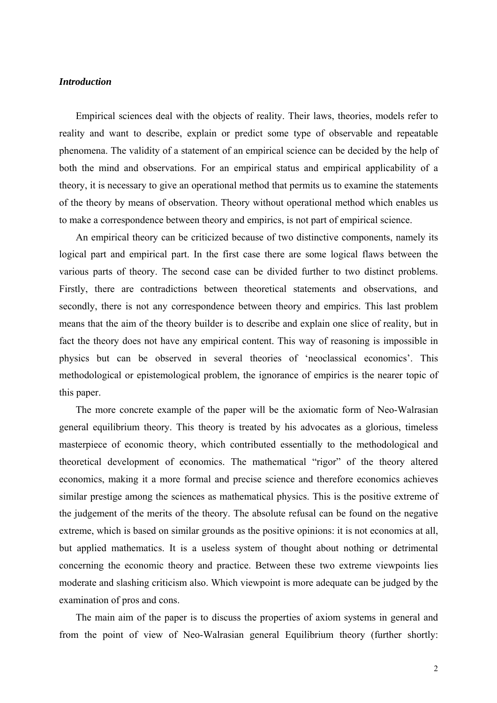# *Introduction*

Empirical sciences deal with the objects of reality. Their laws, theories, models refer to reality and want to describe, explain or predict some type of observable and repeatable phenomena. The validity of a statement of an empirical science can be decided by the help of both the mind and observations. For an empirical status and empirical applicability of a theory, it is necessary to give an operational method that permits us to examine the statements of the theory by means of observation. Theory without operational method which enables us to make a correspondence between theory and empirics, is not part of empirical science.

An empirical theory can be criticized because of two distinctive components, namely its logical part and empirical part. In the first case there are some logical flaws between the various parts of theory. The second case can be divided further to two distinct problems. Firstly, there are contradictions between theoretical statements and observations, and secondly, there is not any correspondence between theory and empirics. This last problem means that the aim of the theory builder is to describe and explain one slice of reality, but in fact the theory does not have any empirical content. This way of reasoning is impossible in physics but can be observed in several theories of 'neoclassical economics'. This methodological or epistemological problem, the ignorance of empirics is the nearer topic of this paper.

The more concrete example of the paper will be the axiomatic form of Neo-Walrasian general equilibrium theory. This theory is treated by his advocates as a glorious, timeless masterpiece of economic theory, which contributed essentially to the methodological and theoretical development of economics. The mathematical "rigor" of the theory altered economics, making it a more formal and precise science and therefore economics achieves similar prestige among the sciences as mathematical physics. This is the positive extreme of the judgement of the merits of the theory. The absolute refusal can be found on the negative extreme, which is based on similar grounds as the positive opinions: it is not economics at all, but applied mathematics. It is a useless system of thought about nothing or detrimental concerning the economic theory and practice. Between these two extreme viewpoints lies moderate and slashing criticism also. Which viewpoint is more adequate can be judged by the examination of pros and cons.

The main aim of the paper is to discuss the properties of axiom systems in general and from the point of view of Neo-Walrasian general Equilibrium theory (further shortly: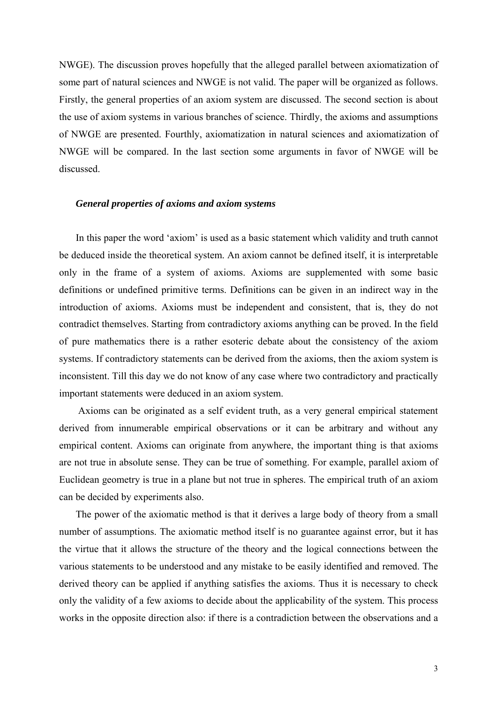NWGE). The discussion proves hopefully that the alleged parallel between axiomatization of some part of natural sciences and NWGE is not valid. The paper will be organized as follows. Firstly, the general properties of an axiom system are discussed. The second section is about the use of axiom systems in various branches of science. Thirdly, the axioms and assumptions of NWGE are presented. Fourthly, axiomatization in natural sciences and axiomatization of NWGE will be compared. In the last section some arguments in favor of NWGE will be discussed.

### *General properties of axioms and axiom systems*

In this paper the word 'axiom' is used as a basic statement which validity and truth cannot be deduced inside the theoretical system. An axiom cannot be defined itself, it is interpretable only in the frame of a system of axioms. Axioms are supplemented with some basic definitions or undefined primitive terms. Definitions can be given in an indirect way in the introduction of axioms. Axioms must be independent and consistent, that is, they do not contradict themselves. Starting from contradictory axioms anything can be proved. In the field of pure mathematics there is a rather esoteric debate about the consistency of the axiom systems. If contradictory statements can be derived from the axioms, then the axiom system is inconsistent. Till this day we do not know of any case where two contradictory and practically important statements were deduced in an axiom system.

Axioms can be originated as a self evident truth, as a very general empirical statement derived from innumerable empirical observations or it can be arbitrary and without any empirical content. Axioms can originate from anywhere, the important thing is that axioms are not true in absolute sense. They can be true of something. For example, parallel axiom of Euclidean geometry is true in a plane but not true in spheres. The empirical truth of an axiom can be decided by experiments also.

The power of the axiomatic method is that it derives a large body of theory from a small number of assumptions. The axiomatic method itself is no guarantee against error, but it has the virtue that it allows the structure of the theory and the logical connections between the various statements to be understood and any mistake to be easily identified and removed. The derived theory can be applied if anything satisfies the axioms. Thus it is necessary to check only the validity of a few axioms to decide about the applicability of the system. This process works in the opposite direction also: if there is a contradiction between the observations and a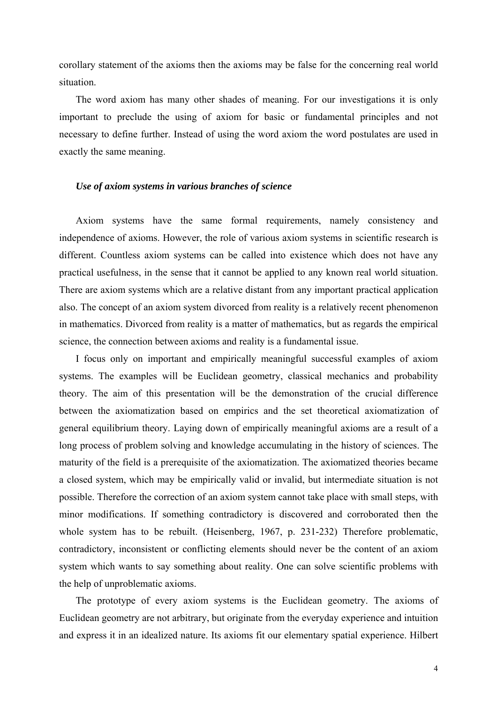corollary statement of the axioms then the axioms may be false for the concerning real world situation.

The word axiom has many other shades of meaning. For our investigations it is only important to preclude the using of axiom for basic or fundamental principles and not necessary to define further. Instead of using the word axiom the word postulates are used in exactly the same meaning.

#### *Use of axiom systems in various branches of science*

Axiom systems have the same formal requirements, namely consistency and independence of axioms. However, the role of various axiom systems in scientific research is different. Countless axiom systems can be called into existence which does not have any practical usefulness, in the sense that it cannot be applied to any known real world situation. There are axiom systems which are a relative distant from any important practical application also. The concept of an axiom system divorced from reality is a relatively recent phenomenon in mathematics. Divorced from reality is a matter of mathematics, but as regards the empirical science, the connection between axioms and reality is a fundamental issue.

I focus only on important and empirically meaningful successful examples of axiom systems. The examples will be Euclidean geometry, classical mechanics and probability theory. The aim of this presentation will be the demonstration of the crucial difference between the axiomatization based on empirics and the set theoretical axiomatization of general equilibrium theory. Laying down of empirically meaningful axioms are a result of a long process of problem solving and knowledge accumulating in the history of sciences. The maturity of the field is a prerequisite of the axiomatization. The axiomatized theories became a closed system, which may be empirically valid or invalid, but intermediate situation is not possible. Therefore the correction of an axiom system cannot take place with small steps, with minor modifications. If something contradictory is discovered and corroborated then the whole system has to be rebuilt. (Heisenberg, 1967, p. 231-232) Therefore problematic, contradictory, inconsistent or conflicting elements should never be the content of an axiom system which wants to say something about reality. One can solve scientific problems with the help of unproblematic axioms.

The prototype of every axiom systems is the Euclidean geometry. The axioms of Euclidean geometry are not arbitrary, but originate from the everyday experience and intuition and express it in an idealized nature. Its axioms fit our elementary spatial experience. Hilbert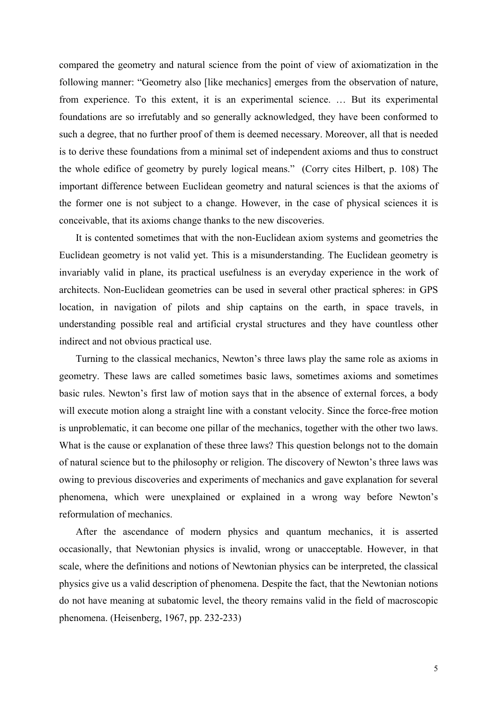compared the geometry and natural science from the point of view of axiomatization in the following manner: "Geometry also [like mechanics] emerges from the observation of nature, from experience. To this extent, it is an experimental science. … But its experimental foundations are so irrefutably and so generally acknowledged, they have been conformed to such a degree, that no further proof of them is deemed necessary. Moreover, all that is needed is to derive these foundations from a minimal set of independent axioms and thus to construct the whole edifice of geometry by purely logical means." (Corry cites Hilbert, p. 108) The important difference between Euclidean geometry and natural sciences is that the axioms of the former one is not subject to a change. However, in the case of physical sciences it is conceivable, that its axioms change thanks to the new discoveries.

It is contented sometimes that with the non-Euclidean axiom systems and geometries the Euclidean geometry is not valid yet. This is a misunderstanding. The Euclidean geometry is invariably valid in plane, its practical usefulness is an everyday experience in the work of architects. Non-Euclidean geometries can be used in several other practical spheres: in GPS location, in navigation of pilots and ship captains on the earth, in space travels, in understanding possible real and artificial crystal structures and they have countless other indirect and not obvious practical use.

Turning to the classical mechanics, Newton's three laws play the same role as axioms in geometry. These laws are called sometimes basic laws, sometimes axioms and sometimes basic rules. Newton's first law of motion says that in the absence of external forces, a body will execute motion along a straight line with a constant velocity. Since the force-free motion is unproblematic, it can become one pillar of the mechanics, together with the other two laws. What is the cause or explanation of these three laws? This question belongs not to the domain of natural science but to the philosophy or religion. The discovery of Newton's three laws was owing to previous discoveries and experiments of mechanics and gave explanation for several phenomena, which were unexplained or explained in a wrong way before Newton's reformulation of mechanics.

After the ascendance of modern physics and quantum mechanics, it is asserted occasionally, that Newtonian physics is invalid, wrong or unacceptable. However, in that scale, where the definitions and notions of Newtonian physics can be interpreted, the classical physics give us a valid description of phenomena. Despite the fact, that the Newtonian notions do not have meaning at subatomic level, the theory remains valid in the field of macroscopic phenomena. (Heisenberg, 1967, pp. 232-233)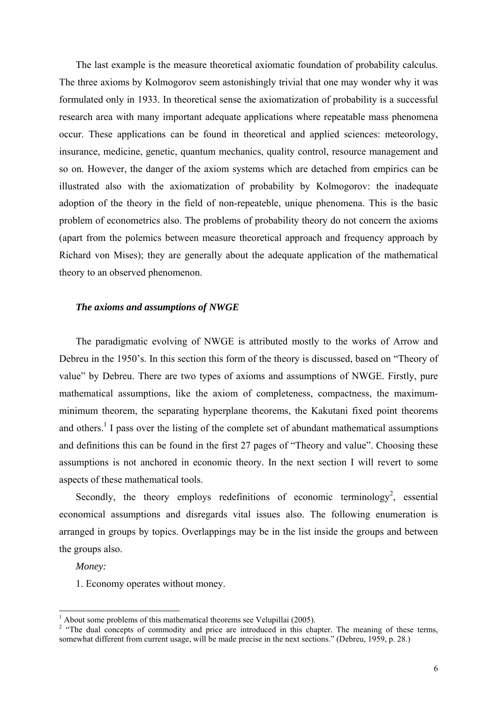The last example is the measure theoretical axiomatic foundation of probability calculus. The three axioms by Kolmogorov seem astonishingly trivial that one may wonder why it was formulated only in 1933. In theoretical sense the axiomatization of probability is a successful research area with many important adequate applications where repeatable mass phenomena occur. These applications can be found in theoretical and applied sciences: meteorology, insurance, medicine, genetic, quantum mechanics, quality control, resource management and so on. However, the danger of the axiom systems which are detached from empirics can be illustrated also with the axiomatization of probability by Kolmogorov: the inadequate adoption of the theory in the field of non-repeateble, unique phenomena. This is the basic problem of econometrics also. The problems of probability theory do not concern the axioms (apart from the polemics between measure theoretical approach and frequency approach by Richard von Mises); they are generally about the adequate application of the mathematical theory to an observed phenomenon.

#### *The axioms and assumptions of NWGE*

The paradigmatic evolving of NWGE is attributed mostly to the works of Arrow and Debreu in the 1950's. In this section this form of the theory is discussed, based on "Theory of value" by Debreu. There are two types of axioms and assumptions of NWGE. Firstly, pure mathematical assumptions, like the axiom of completeness, compactness, the maximumminimum theorem, the separating hyperplane theorems, the Kakutani fixed point theorems and others.<sup>1</sup> I pass over the listing of the complete set of abundant mathematical assumptions and definitions this can be found in the first 27 pages of "Theory and value". Choosing these assumptions is not anchored in economic theory. In the next section I will revert to some aspects of these mathematical tools.

Secondly, the theory employs redefinitions of economic terminology<sup>[2](#page-5-1)</sup>, essential economical assumptions and disregards vital issues also. The following enumeration is arranged in groups by topics. Overlappings may be in the list inside the groups and between the groups also.

*Money:* 

1. Economy operates without money.

 $\frac{1}{1}$ 

<span id="page-5-1"></span><span id="page-5-0"></span>About some problems of this mathematical theorems see Velupillai (2005).<br><sup>2</sup> "The dual concepts of commodity and price are introduced in this chapter. The meaning of these terms, somewhat different from current usage, will be made precise in the next sections." (Debreu, 1959, p. 28.)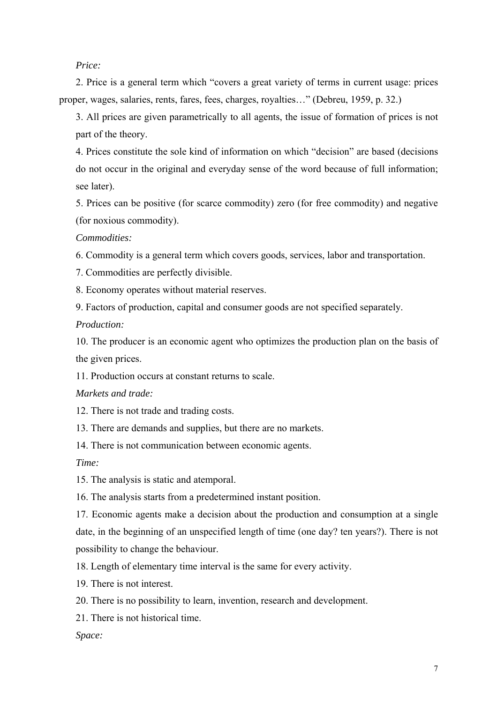## *Price:*

2. Price is a general term which "covers a great variety of terms in current usage: prices proper, wages, salaries, rents, fares, fees, charges, royalties…" (Debreu, 1959, p. 32.)

3. All prices are given parametrically to all agents, the issue of formation of prices is not part of the theory.

4. Prices constitute the sole kind of information on which "decision" are based (decisions do not occur in the original and everyday sense of the word because of full information; see later).

5. Prices can be positive (for scarce commodity) zero (for free commodity) and negative (for noxious commodity).

*Commodities:* 

6. Commodity is a general term which covers goods, services, labor and transportation.

7. Commodities are perfectly divisible.

8. Economy operates without material reserves.

9. Factors of production, capital and consumer goods are not specified separately.

*Production:* 

10. The producer is an economic agent who optimizes the production plan on the basis of the given prices.

11. Production occurs at constant returns to scale.

*Markets and trade:* 

12. There is not trade and trading costs.

13. There are demands and supplies, but there are no markets.

14. There is not communication between economic agents.

*Time:* 

15. The analysis is static and atemporal.

16. The analysis starts from a predetermined instant position.

17. Economic agents make a decision about the production and consumption at a single date, in the beginning of an unspecified length of time (one day? ten years?). There is not possibility to change the behaviour.

18. Length of elementary time interval is the same for every activity.

19. There is not interest.

20. There is no possibility to learn, invention, research and development.

21. There is not historical time.

*Space:*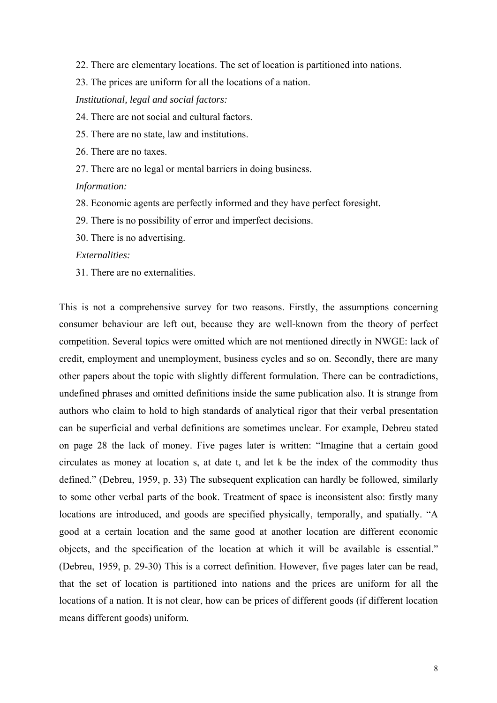- 22. There are elementary locations. The set of location is partitioned into nations.
- 23. The prices are uniform for all the locations of a nation.

*Institutional, legal and social factors:* 

- 24. There are not social and cultural factors.
- 25. There are no state, law and institutions.

26. There are no taxes.

27. There are no legal or mental barriers in doing business.

#### *Information:*

- 28. Economic agents are perfectly informed and they have perfect foresight.
- 29. There is no possibility of error and imperfect decisions.
- 30. There is no advertising.

#### *Externalities:*

31. There are no externalities.

This is not a comprehensive survey for two reasons. Firstly, the assumptions concerning consumer behaviour are left out, because they are well-known from the theory of perfect competition. Several topics were omitted which are not mentioned directly in NWGE: lack of credit, employment and unemployment, business cycles and so on. Secondly, there are many other papers about the topic with slightly different formulation. There can be contradictions, undefined phrases and omitted definitions inside the same publication also. It is strange from authors who claim to hold to high standards of analytical rigor that their verbal presentation can be superficial and verbal definitions are sometimes unclear. For example, Debreu stated on page 28 the lack of money. Five pages later is written: "Imagine that a certain good circulates as money at location s, at date t, and let k be the index of the commodity thus defined." (Debreu, 1959, p. 33) The subsequent explication can hardly be followed, similarly to some other verbal parts of the book. Treatment of space is inconsistent also: firstly many locations are introduced, and goods are specified physically, temporally, and spatially. "A good at a certain location and the same good at another location are different economic objects, and the specification of the location at which it will be available is essential." (Debreu, 1959, p. 29-30) This is a correct definition. However, five pages later can be read, that the set of location is partitioned into nations and the prices are uniform for all the locations of a nation. It is not clear, how can be prices of different goods (if different location means different goods) uniform.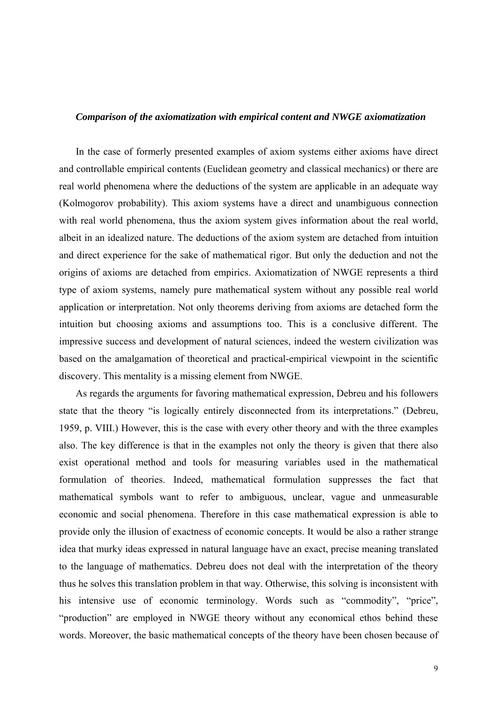#### *Comparison of the axiomatization with empirical content and NWGE axiomatization*

In the case of formerly presented examples of axiom systems either axioms have direct and controllable empirical contents (Euclidean geometry and classical mechanics) or there are real world phenomena where the deductions of the system are applicable in an adequate way (Kolmogorov probability). This axiom systems have a direct and unambiguous connection with real world phenomena, thus the axiom system gives information about the real world, albeit in an idealized nature. The deductions of the axiom system are detached from intuition and direct experience for the sake of mathematical rigor. But only the deduction and not the origins of axioms are detached from empirics. Axiomatization of NWGE represents a third type of axiom systems, namely pure mathematical system without any possible real world application or interpretation. Not only theorems deriving from axioms are detached form the intuition but choosing axioms and assumptions too. This is a conclusive different. The impressive success and development of natural sciences, indeed the western civilization was based on the amalgamation of theoretical and practical-empirical viewpoint in the scientific discovery. This mentality is a missing element from NWGE.

As regards the arguments for favoring mathematical expression, Debreu and his followers state that the theory "is logically entirely disconnected from its interpretations." (Debreu, 1959, p. VIII.) However, this is the case with every other theory and with the three examples also. The key difference is that in the examples not only the theory is given that there also exist operational method and tools for measuring variables used in the mathematical formulation of theories. Indeed, mathematical formulation suppresses the fact that mathematical symbols want to refer to ambiguous, unclear, vague and unmeasurable economic and social phenomena. Therefore in this case mathematical expression is able to provide only the illusion of exactness of economic concepts. It would be also a rather strange idea that murky ideas expressed in natural language have an exact, precise meaning translated to the language of mathematics. Debreu does not deal with the interpretation of the theory thus he solves this translation problem in that way. Otherwise, this solving is inconsistent with his intensive use of economic terminology. Words such as "commodity", "price", "production" are employed in NWGE theory without any economical ethos behind these words. Moreover, the basic mathematical concepts of the theory have been chosen because of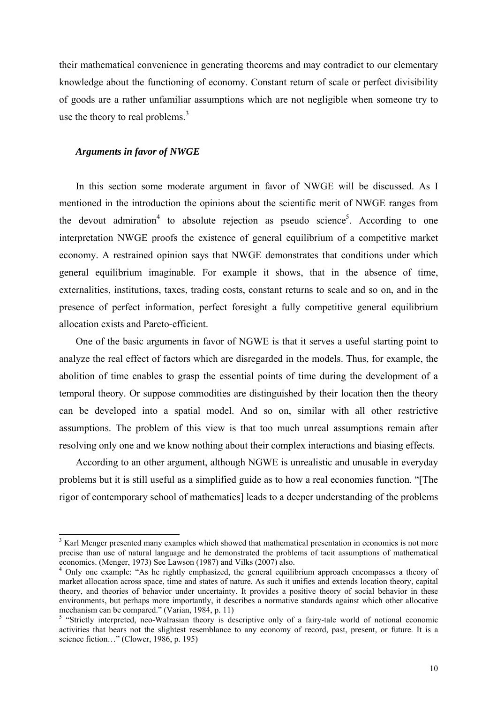their mathematical convenience in generating theorems and may contradict to our elementary knowledge about the functioning of economy. Constant return of scale or perfect divisibility of goods are a rather unfamiliar assumptions which are not negligible when someone try to use the theory to real problems. $3$ 

### *Arguments in favor of NWGE*

In this section some moderate argument in favor of NWGE will be discussed. As I mentioned in the introduction the opinions about the scientific merit of NWGE ranges from the devout admiration<sup>[4](#page-9-1)</sup> to absolute rejection as pseudo science<sup>[5](#page-9-2)</sup>. According to one interpretation NWGE proofs the existence of general equilibrium of a competitive market economy. A restrained opinion says that NWGE demonstrates that conditions under which general equilibrium imaginable. For example it shows, that in the absence of time, externalities, institutions, taxes, trading costs, constant returns to scale and so on, and in the presence of perfect information, perfect foresight a fully competitive general equilibrium allocation exists and Pareto-efficient.

One of the basic arguments in favor of NGWE is that it serves a useful starting point to analyze the real effect of factors which are disregarded in the models. Thus, for example, the abolition of time enables to grasp the essential points of time during the development of a temporal theory. Or suppose commodities are distinguished by their location then the theory can be developed into a spatial model. And so on, similar with all other restrictive assumptions. The problem of this view is that too much unreal assumptions remain after resolving only one and we know nothing about their complex interactions and biasing effects.

According to an other argument, although NGWE is unrealistic and unusable in everyday problems but it is still useful as a simplified guide as to how a real economies function. "[The rigor of contemporary school of mathematics] leads to a deeper understanding of the problems

<span id="page-9-0"></span> $\frac{1}{3}$ <sup>3</sup> Karl Menger presented many examples which showed that mathematical presentation in economics is not more precise than use of natural language and he demonstrated the problems of tacit assumptions of mathematical economics. (Menger, 1973) See Lawson (1987) and Vilks (2007) also. 4

<span id="page-9-1"></span><sup>&</sup>lt;sup>4</sup> Only one example: "As he rightly emphasized, the general equilibrium approach encompasses a theory of market allocation across space, time and states of nature. As such it unifies and extends location theory, capital theory, and theories of behavior under uncertainty. It provides a positive theory of social behavior in these environments, but perhaps more importantly, it describes a normative standards against which other allocative mechanism can be compared." (Varian,  $1984$ , p. 11)

<span id="page-9-2"></span><sup>&</sup>lt;sup>5</sup> "Strictly interpreted, neo-Walrasian theory is descriptive only of a fairy-tale world of notional economic activities that bears not the slightest resemblance to any economy of record, past, present, or future. It is a science fiction…" (Clower, 1986, p. 195)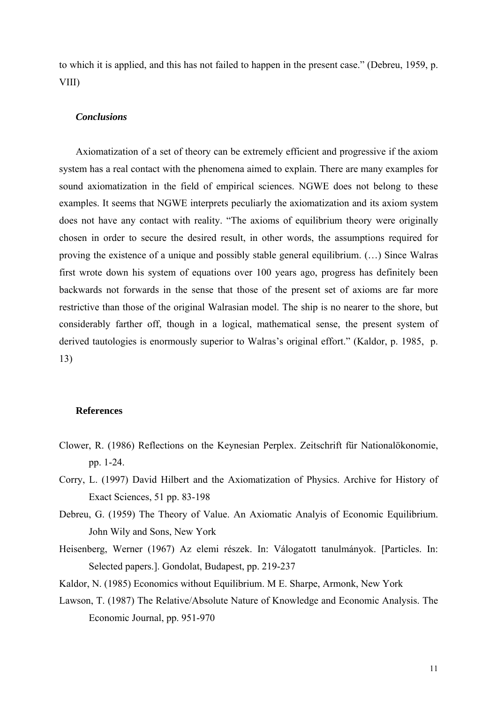to which it is applied, and this has not failed to happen in the present case." (Debreu, 1959, p. VIII)

### *Conclusions*

Axiomatization of a set of theory can be extremely efficient and progressive if the axiom system has a real contact with the phenomena aimed to explain. There are many examples for sound axiomatization in the field of empirical sciences. NGWE does not belong to these examples. It seems that NGWE interprets peculiarly the axiomatization and its axiom system does not have any contact with reality. "The axioms of equilibrium theory were originally chosen in order to secure the desired result, in other words, the assumptions required for proving the existence of a unique and possibly stable general equilibrium. (…) Since Walras first wrote down his system of equations over 100 years ago, progress has definitely been backwards not forwards in the sense that those of the present set of axioms are far more restrictive than those of the original Walrasian model. The ship is no nearer to the shore, but considerably farther off, though in a logical, mathematical sense, the present system of derived tautologies is enormously superior to Walras's original effort." (Kaldor, p. 1985, p. 13)

### **References**

- Clower, R. (1986) Reflections on the Keynesian Perplex. Zeitschrift für Nationalökonomie, pp. 1-24.
- Corry, L. (1997) David Hilbert and the Axiomatization of Physics. Archive for History of Exact Sciences, 51 pp. 83-198
- Debreu, G. (1959) The Theory of Value. An Axiomatic Analyis of Economic Equilibrium. John Wily and Sons, New York
- Heisenberg, Werner (1967) Az elemi részek. In: Válogatott tanulmányok. [Particles. In: Selected papers.]. Gondolat, Budapest, pp. 219-237
- Kaldor, N. (1985) Economics without Equilibrium. M E. Sharpe, Armonk, New York
- Lawson, T. (1987) The Relative/Absolute Nature of Knowledge and Economic Analysis. The Economic Journal, pp. 951-970